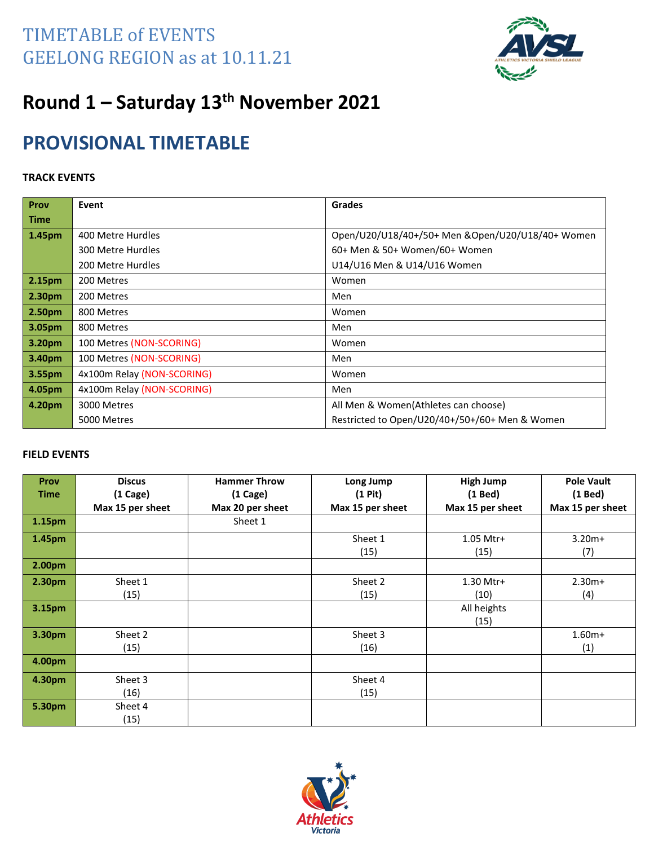

# **Round 1 – Saturday 13th November 2021**

### **PROVISIONAL TIMETABLE**

#### **TRACK EVENTS**

| Prov        | Event                      | <b>Grades</b>                                     |
|-------------|----------------------------|---------------------------------------------------|
| <b>Time</b> |                            |                                                   |
| 1.45pm      | 400 Metre Hurdles          | Open/U20/U18/40+/50+ Men & Open/U20/U18/40+ Women |
|             | 300 Metre Hurdles          | 60+ Men & 50+ Women/60+ Women                     |
|             | 200 Metre Hurdles          | U14/U16 Men & U14/U16 Women                       |
| 2.15pm      | 200 Metres                 | Women                                             |
| 2.30pm      | 200 Metres                 | Men                                               |
| 2.50pm      | 800 Metres                 | Women                                             |
| 3.05pm      | 800 Metres                 | Men                                               |
| 3.20pm      | 100 Metres (NON-SCORING)   | Women                                             |
| 3.40pm      | 100 Metres (NON-SCORING)   | Men                                               |
| 3.55pm      | 4x100m Relay (NON-SCORING) | Women                                             |
| 4.05pm      | 4x100m Relay (NON-SCORING) | Men                                               |
| 4.20pm      | 3000 Metres                | All Men & Women(Athletes can choose)              |
|             | 5000 Metres                | Restricted to Open/U20/40+/50+/60+ Men & Women    |

| Prov               | <b>Discus</b>    | <b>Hammer Throw</b> | Long Jump        | <b>High Jump</b> | <b>Pole Vault</b> |
|--------------------|------------------|---------------------|------------------|------------------|-------------------|
| <b>Time</b>        | $(1)$ Cage)      | $(1)$ Cage)         | $(1$ Pit $)$     | (1 Bed)          | $(1$ Bed $)$      |
|                    | Max 15 per sheet | Max 20 per sheet    | Max 15 per sheet | Max 15 per sheet | Max 15 per sheet  |
| 1.15pm             |                  | Sheet 1             |                  |                  |                   |
| 1.45pm             |                  |                     | Sheet 1          | 1.05 Mtr+        | $3.20m+$          |
|                    |                  |                     | (15)             | (15)             | (7)               |
| 2.00 <sub>pm</sub> |                  |                     |                  |                  |                   |
| 2.30pm             | Sheet 1          |                     | Sheet 2          | 1.30 Mtr+        | $2.30m+$          |
|                    | (15)             |                     | (15)             | (10)             | (4)               |
| 3.15pm             |                  |                     |                  | All heights      |                   |
|                    |                  |                     |                  | (15)             |                   |
| 3.30pm             | Sheet 2          |                     | Sheet 3          |                  | $1.60m+$          |
|                    | (15)             |                     | (16)             |                  | (1)               |
| 4.00pm             |                  |                     |                  |                  |                   |
| 4.30pm             | Sheet 3          |                     | Sheet 4          |                  |                   |
|                    | (16)             |                     | (15)             |                  |                   |
| 5.30pm             | Sheet 4          |                     |                  |                  |                   |
|                    | (15)             |                     |                  |                  |                   |

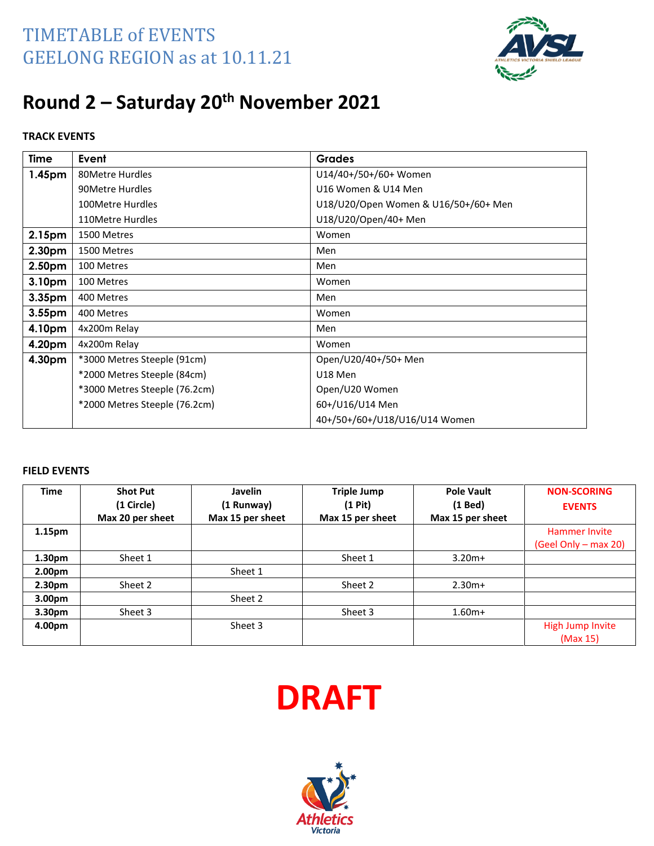

# **Round 2 – Saturday 20th November 2021**

#### **TRACK EVENTS**

| Time               | Event                         | <b>Grades</b>                        |
|--------------------|-------------------------------|--------------------------------------|
| 1.45pm             | 80Metre Hurdles               | U14/40+/50+/60+ Women                |
|                    | 90Metre Hurdles               | U16 Women & U14 Men                  |
|                    | 100Metre Hurdles              | U18/U20/Open Women & U16/50+/60+ Men |
|                    | 110Metre Hurdles              | U18/U20/Open/40+ Men                 |
| 2.15pm             | 1500 Metres                   | Women                                |
| 2.30pm             | 1500 Metres                   | Men                                  |
| 2.50pm             | 100 Metres                    | Men                                  |
| 3.10 <sub>pm</sub> | 100 Metres                    | Women                                |
| 3.35 <sub>pm</sub> | 400 Metres                    | Men                                  |
| 3.55 <sub>pm</sub> | 400 Metres                    | Women                                |
| 4.10pm             | 4x200m Relay                  | Men                                  |
| 4.20pm             | 4x200m Relay                  | Women                                |
| 4.30pm             | *3000 Metres Steeple (91cm)   | Open/U20/40+/50+ Men                 |
|                    | *2000 Metres Steeple (84cm)   | U18 Men                              |
|                    | *3000 Metres Steeple (76.2cm) | Open/U20 Women                       |
|                    | *2000 Metres Steeple (76.2cm) | 60+/U16/U14 Men                      |
|                    |                               | 40+/50+/60+/U18/U16/U14 Women        |

| <b>Time</b>        | <b>Shot Put</b><br>(1 Circle)<br>Max 20 per sheet | Javelin<br>(1 Runway)<br>Max 15 per sheet | <b>Triple Jump</b><br>$(1$ Pit)<br>Max 15 per sheet | <b>Pole Vault</b><br>$(1$ Bed)<br>Max 15 per sheet | <b>NON-SCORING</b><br><b>EVENTS</b>          |
|--------------------|---------------------------------------------------|-------------------------------------------|-----------------------------------------------------|----------------------------------------------------|----------------------------------------------|
| 1.15 <sub>pm</sub> |                                                   |                                           |                                                     |                                                    | <b>Hammer Invite</b><br>(Geel Only – max 20) |
| 1.30 <sub>pm</sub> | Sheet 1                                           |                                           | Sheet 1                                             | $3.20m+$                                           |                                              |
| 2.00 <sub>pm</sub> |                                                   | Sheet 1                                   |                                                     |                                                    |                                              |
| 2.30 <sub>pm</sub> | Sheet 2                                           |                                           | Sheet 2                                             | $2.30m+$                                           |                                              |
| 3.00 <sub>pm</sub> |                                                   | Sheet 2                                   |                                                     |                                                    |                                              |
| 3.30 <sub>pm</sub> | Sheet 3                                           |                                           | Sheet 3                                             | $1.60m+$                                           |                                              |
| 4.00pm             |                                                   | Sheet 3                                   |                                                     |                                                    | High Jump Invite<br>(Max 15)                 |



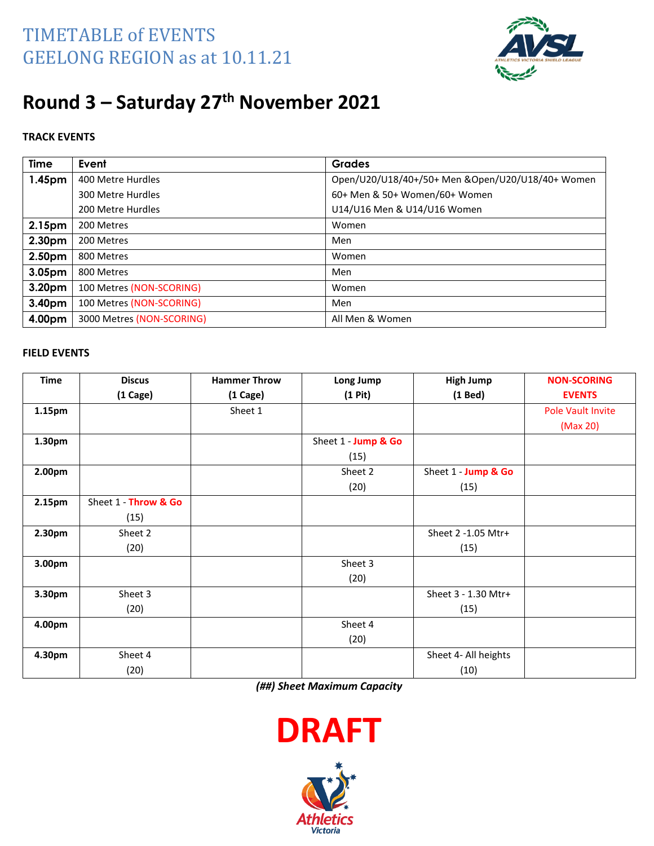

# **Round 3 – Saturday 27th November 2021**

#### **TRACK EVENTS**

| <b>Time</b>        | Event                     | <b>Grades</b>                                    |
|--------------------|---------------------------|--------------------------------------------------|
| 1.45 <sub>pm</sub> | 400 Metre Hurdles         | Open/U20/U18/40+/50+ Men &Open/U20/U18/40+ Women |
|                    | 300 Metre Hurdles         | 60+ Men & 50+ Women/60+ Women                    |
|                    | 200 Metre Hurdles         | U14/U16 Men & U14/U16 Women                      |
| 2.15pm             | 200 Metres                | Women                                            |
| 2.30pm             | 200 Metres                | Men                                              |
| 2.50pm             | 800 Metres                | Women                                            |
| 3.05pm             | 800 Metres                | Men                                              |
| 3.20pm             | 100 Metres (NON-SCORING)  | Women                                            |
| 3.40pm             | 100 Metres (NON-SCORING)  | Men                                              |
| 4.00pm             | 3000 Metres (NON-SCORING) | All Men & Women                                  |

#### **FIELD EVENTS**

| Time   | <b>Discus</b>        | <b>Hammer Throw</b> | Long Jump           | <b>High Jump</b>     | <b>NON-SCORING</b> |
|--------|----------------------|---------------------|---------------------|----------------------|--------------------|
|        | $(1)$ Cage)          | (1 Cage)            | $(1$ Pit $)$        | $(1$ Bed $)$         | <b>EVENTS</b>      |
| 1.15pm |                      | Sheet 1             |                     |                      | Pole Vault Invite  |
|        |                      |                     |                     |                      | (Max 20)           |
| 1.30pm |                      |                     | Sheet 1 - Jump & Go |                      |                    |
|        |                      |                     | (15)                |                      |                    |
| 2.00pm |                      |                     | Sheet 2             | Sheet 1 - Jump & Go  |                    |
|        |                      |                     | (20)                | (15)                 |                    |
| 2.15pm | Sheet 1 - Throw & Go |                     |                     |                      |                    |
|        | (15)                 |                     |                     |                      |                    |
| 2.30pm | Sheet 2              |                     |                     | Sheet 2 -1.05 Mtr+   |                    |
|        | (20)                 |                     |                     | (15)                 |                    |
| 3.00pm |                      |                     | Sheet 3             |                      |                    |
|        |                      |                     | (20)                |                      |                    |
| 3.30pm | Sheet 3              |                     |                     | Sheet 3 - 1.30 Mtr+  |                    |
|        | (20)                 |                     |                     | (15)                 |                    |
| 4.00pm |                      |                     | Sheet 4             |                      |                    |
|        |                      |                     | (20)                |                      |                    |
| 4.30pm | Sheet 4              |                     |                     | Sheet 4- All heights |                    |
|        | (20)                 |                     |                     | (10)                 |                    |

*(##) Sheet Maximum Capacity*



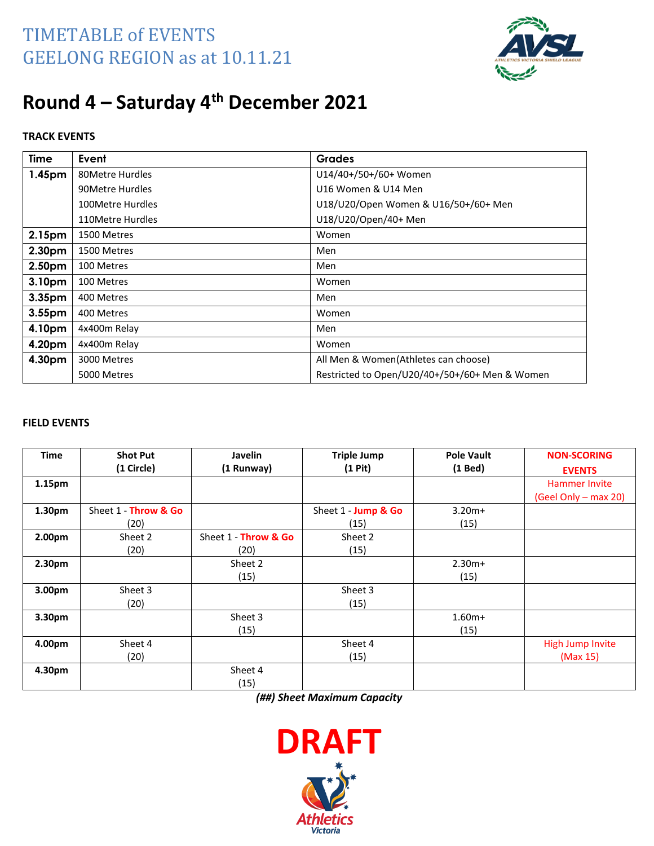

### **Round 4 – Saturday 4 th December 2021**

#### **TRACK EVENTS**

| <b>Time</b> | Event            | <b>Grades</b>                                  |
|-------------|------------------|------------------------------------------------|
| 1.45pm      | 80Metre Hurdles  | U14/40+/50+/60+ Women                          |
|             | 90Metre Hurdles  | U16 Women & U14 Men                            |
|             | 100Metre Hurdles | U18/U20/Open Women & U16/50+/60+ Men           |
|             | 110Metre Hurdles | U18/U20/Open/40+ Men                           |
| 2.15pm      | 1500 Metres      | Women                                          |
| 2.30pm      | 1500 Metres      | Men                                            |
| 2.50pm      | 100 Metres       | Men                                            |
| 3.10pm      | 100 Metres       | Women                                          |
| 3.35pm      | 400 Metres       | Men                                            |
| 3.55pm      | 400 Metres       | Women                                          |
| 4.10pm      | 4x400m Relay     | Men                                            |
| 4.20pm      | 4x400m Relay     | Women                                          |
| 4.30pm      | 3000 Metres      | All Men & Women(Athletes can choose)           |
|             | 5000 Metres      | Restricted to Open/U20/40+/50+/60+ Men & Women |

#### **FIELD EVENTS**

| <b>Time</b> | <b>Shot Put</b>      | <b>Javelin</b>       | <b>Triple Jump</b>  | <b>Pole Vault</b> | <b>NON-SCORING</b>   |
|-------------|----------------------|----------------------|---------------------|-------------------|----------------------|
|             | (1 Circle)           | (1 Runway)           | $(1$ Pit $)$        | $(1$ Bed)         | <b>EVENTS</b>        |
| 1.15pm      |                      |                      |                     |                   | <b>Hammer Invite</b> |
|             |                      |                      |                     |                   | (Geel Only - max 20) |
| 1.30pm      | Sheet 1 - Throw & Go |                      | Sheet 1 - Jump & Go | $3.20m+$          |                      |
|             | (20)                 |                      | (15)                | (15)              |                      |
| 2.00pm      | Sheet 2              | Sheet 1 - Throw & Go | Sheet 2             |                   |                      |
|             | (20)                 | (20)                 | (15)                |                   |                      |
| 2.30pm      |                      | Sheet 2              |                     | $2.30m+$          |                      |
|             |                      | (15)                 |                     | (15)              |                      |
| 3.00pm      | Sheet 3              |                      | Sheet 3             |                   |                      |
|             | (20)                 |                      | (15)                |                   |                      |
| 3.30pm      |                      | Sheet 3              |                     | $1.60m+$          |                      |
|             |                      | (15)                 |                     | (15)              |                      |
| 4.00pm      | Sheet 4              |                      | Sheet 4             |                   | High Jump Invite     |
|             | (20)                 |                      | (15)                |                   | (Max 15)             |
| 4.30pm      |                      | Sheet 4              |                     |                   |                      |
|             |                      | (15)                 |                     |                   |                      |

*(##) Sheet Maximum Capacity*

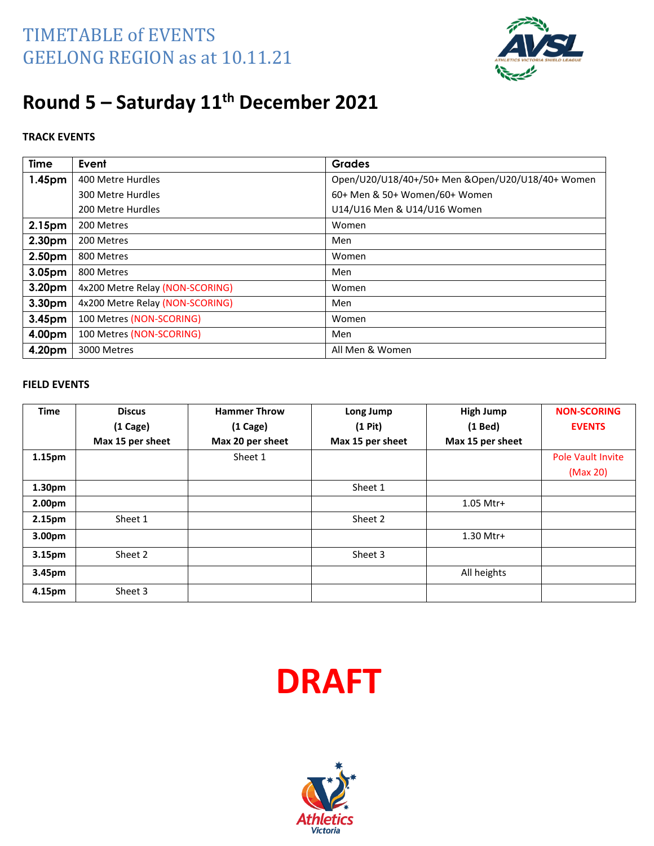

# **Round 5 – Saturday 11th December 2021**

#### **TRACK EVENTS**

| <b>Time</b> | Event                           | <b>Grades</b>                                    |
|-------------|---------------------------------|--------------------------------------------------|
| 1.45pm      | 400 Metre Hurdles               | Open/U20/U18/40+/50+ Men &Open/U20/U18/40+ Women |
|             | 300 Metre Hurdles               | 60+ Men & 50+ Women/60+ Women                    |
|             | 200 Metre Hurdles               | U14/U16 Men & U14/U16 Women                      |
| 2.15pm      | 200 Metres                      | Women                                            |
| 2.30pm      | 200 Metres                      | Men                                              |
| 2.50pm      | 800 Metres                      | Women                                            |
| 3.05pm      | 800 Metres                      | Men                                              |
| 3.20pm      | 4x200 Metre Relay (NON-SCORING) | Women                                            |
| 3.30pm      | 4x200 Metre Relay (NON-SCORING) | Men                                              |
| 3.45pm      | 100 Metres (NON-SCORING)        | Women                                            |
| 4.00pm      | 100 Metres (NON-SCORING)        | Men                                              |
| 4.20pm      | 3000 Metres                     | All Men & Women                                  |

| <b>Time</b>        | <b>Discus</b>    | <b>Hammer Throw</b> | Long Jump        | <b>High Jump</b> | <b>NON-SCORING</b>       |
|--------------------|------------------|---------------------|------------------|------------------|--------------------------|
|                    | $(1)$ Cage)      | $(1)$ Cage)         | $(1$ Pit $)$     | $(1$ Bed)        | <b>EVENTS</b>            |
|                    | Max 15 per sheet | Max 20 per sheet    | Max 15 per sheet | Max 15 per sheet |                          |
| 1.15 <sub>pm</sub> |                  | Sheet 1             |                  |                  | <b>Pole Vault Invite</b> |
|                    |                  |                     |                  |                  | (Max 20)                 |
| 1.30pm             |                  |                     | Sheet 1          |                  |                          |
| 2.00pm             |                  |                     |                  | 1.05 Mtr+        |                          |
| 2.15pm             | Sheet 1          |                     | Sheet 2          |                  |                          |
| 3.00 <sub>pm</sub> |                  |                     |                  | 1.30 Mtr+        |                          |
| 3.15 <sub>pm</sub> | Sheet 2          |                     | Sheet 3          |                  |                          |
| 3.45pm             |                  |                     |                  | All heights      |                          |
| 4.15pm             | Sheet 3          |                     |                  |                  |                          |



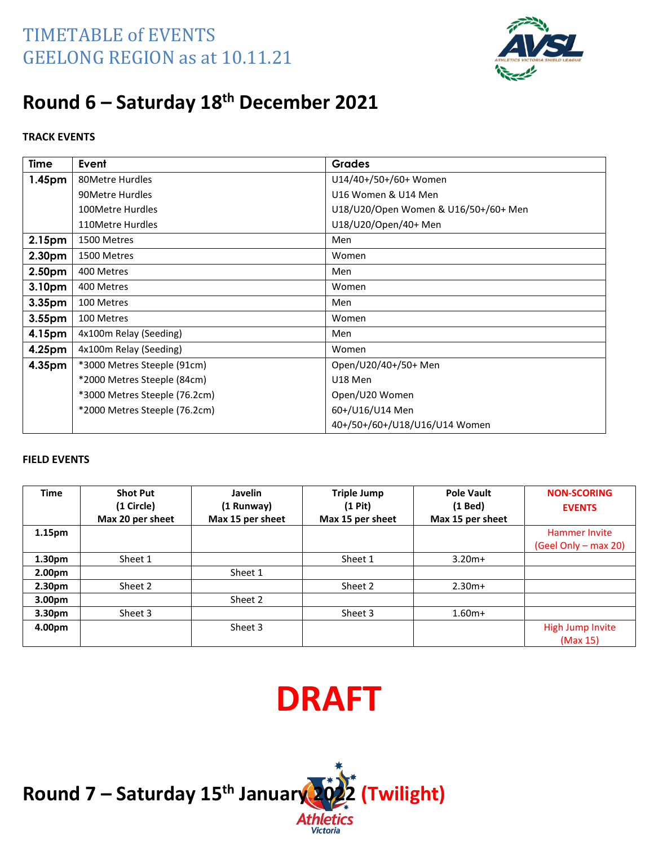

### **Round 6 – Saturday 18th December 2021**

#### **TRACK EVENTS**

| <b>Time</b>        | Event                         | <b>Grades</b>                        |  |
|--------------------|-------------------------------|--------------------------------------|--|
| 1.45 <sub>pm</sub> | 80Metre Hurdles               | U14/40+/50+/60+ Women                |  |
|                    | 90Metre Hurdles               | U16 Women & U14 Men                  |  |
|                    | 100Metre Hurdles              | U18/U20/Open Women & U16/50+/60+ Men |  |
|                    | 110Metre Hurdles              | U18/U20/Open/40+ Men                 |  |
| 2.15 <sub>pm</sub> | 1500 Metres                   | Men                                  |  |
| 2.30pm             | 1500 Metres                   | Women                                |  |
| 2.50pm             | 400 Metres                    | Men                                  |  |
| 3.10pm             | 400 Metres                    | Women                                |  |
| 3.35 <sub>pm</sub> | 100 Metres                    | Men                                  |  |
| 3.55pm             | 100 Metres                    | Women                                |  |
| 4.15pm             | 4x100m Relay (Seeding)        | Men                                  |  |
| 4.25pm             | 4x100m Relay (Seeding)        | Women                                |  |
| 4.35pm             | *3000 Metres Steeple (91cm)   | Open/U20/40+/50+ Men                 |  |
|                    | *2000 Metres Steeple (84cm)   | U18 Men                              |  |
|                    | *3000 Metres Steeple (76.2cm) | Open/U20 Women                       |  |
|                    | *2000 Metres Steeple (76.2cm) | 60+/U16/U14 Men                      |  |
|                    |                               | 40+/50+/60+/U18/U16/U14 Women        |  |

#### **FIELD EVENTS**

| <b>Time</b>        | <b>Shot Put</b>  | <b>Javelin</b>   | <b>Triple Jump</b> | <b>Pole Vault</b> | <b>NON-SCORING</b>   |
|--------------------|------------------|------------------|--------------------|-------------------|----------------------|
|                    | (1 Circle)       | (1 Runway)       | $(1$ Pit)          | $(1$ Bed)         | <b>EVENTS</b>        |
|                    | Max 20 per sheet | Max 15 per sheet | Max 15 per sheet   | Max 15 per sheet  |                      |
| 1.15 <sub>pm</sub> |                  |                  |                    |                   | <b>Hammer Invite</b> |
|                    |                  |                  |                    |                   | (Geel Only – max 20) |
| 1.30 <sub>pm</sub> | Sheet 1          |                  | Sheet 1            | $3.20m+$          |                      |
| 2.00 <sub>pm</sub> |                  | Sheet 1          |                    |                   |                      |
| 2.30 <sub>pm</sub> | Sheet 2          |                  | Sheet 2            | $2.30m+$          |                      |
| 3.00 <sub>pm</sub> |                  | Sheet 2          |                    |                   |                      |
| 3.30 <sub>pm</sub> | Sheet 3          |                  | Sheet 3            | $1.60m+$          |                      |
| 4.00pm             |                  | Sheet 3          |                    |                   | High Jump Invite     |
|                    |                  |                  |                    |                   | (Max 15)             |



**Round 7 – Saturday 15 th January 2022 (Twilight)**



Victoria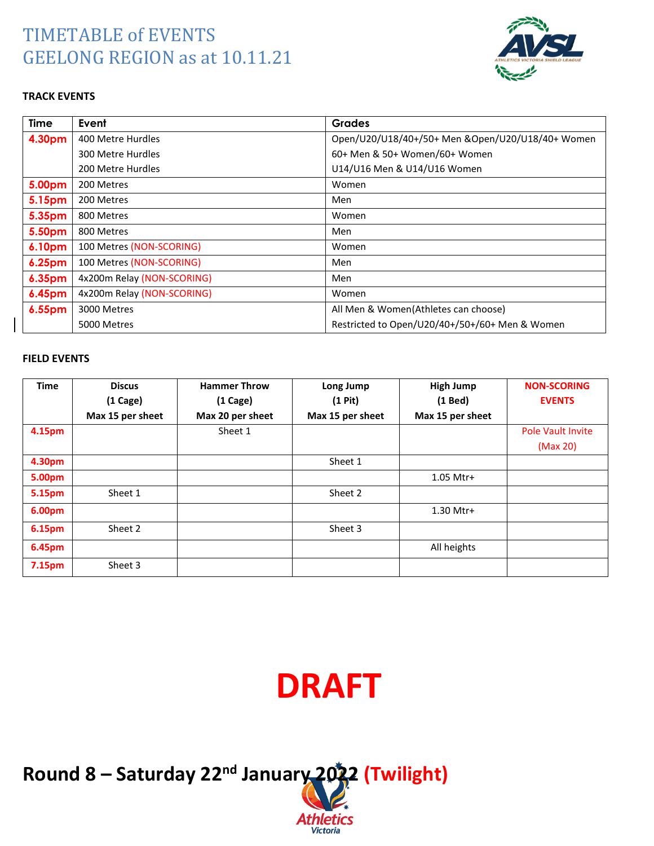

#### **TRACK EVENTS**

| <b>Time</b>   | Event                      | <b>Grades</b>                                    |
|---------------|----------------------------|--------------------------------------------------|
| 4.30pm        | 400 Metre Hurdles          | Open/U20/U18/40+/50+ Men &Open/U20/U18/40+ Women |
|               | 300 Metre Hurdles          | 60+ Men & 50+ Women/60+ Women                    |
|               | 200 Metre Hurdles          | U14/U16 Men & U14/U16 Women                      |
| 5.00pm        | 200 Metres                 | Women                                            |
| 5.15pm        | 200 Metres                 | Men                                              |
| 5.35pm        | 800 Metres                 | Women                                            |
| 5.50pm        | 800 Metres                 | Men                                              |
| 6.10pm        | 100 Metres (NON-SCORING)   | Women                                            |
| 6.25pm        | 100 Metres (NON-SCORING)   | Men                                              |
| 6.35pm        | 4x200m Relay (NON-SCORING) | Men                                              |
| <b>6.45pm</b> | 4x200m Relay (NON-SCORING) | Women                                            |
| 6.55pm        | 3000 Metres                | All Men & Women(Athletes can choose)             |
|               | 5000 Metres                | Restricted to Open/U20/40+/50+/60+ Men & Women   |

#### **FIELD EVENTS**

| <b>Time</b> | <b>Discus</b>    | <b>Hammer Throw</b> | Long Jump        | <b>High Jump</b> | <b>NON-SCORING</b>       |
|-------------|------------------|---------------------|------------------|------------------|--------------------------|
|             | $(1)$ Cage)      | $(1)$ Cage)         | $(1$ Pit $)$     | $(1$ Bed)        | <b>EVENTS</b>            |
|             | Max 15 per sheet | Max 20 per sheet    | Max 15 per sheet | Max 15 per sheet |                          |
| 4.15pm      |                  | Sheet 1             |                  |                  | <b>Pole Vault Invite</b> |
|             |                  |                     |                  |                  | (Max 20)                 |
| 4.30pm      |                  |                     | Sheet 1          |                  |                          |
| 5.00pm      |                  |                     |                  | 1.05 Mtr+        |                          |
| 5.15pm      | Sheet 1          |                     | Sheet 2          |                  |                          |
| 6.00pm      |                  |                     |                  | 1.30 Mtr+        |                          |
| 6.15pm      | Sheet 2          |                     | Sheet 3          |                  |                          |
| 6.45pm      |                  |                     |                  | All heights      |                          |
| 7.15pm      | Sheet 3          |                     |                  |                  |                          |

# **DRAFT**

Athletics Victoria

**Round 8 – Saturday 22nd January 2022 (Twilight)**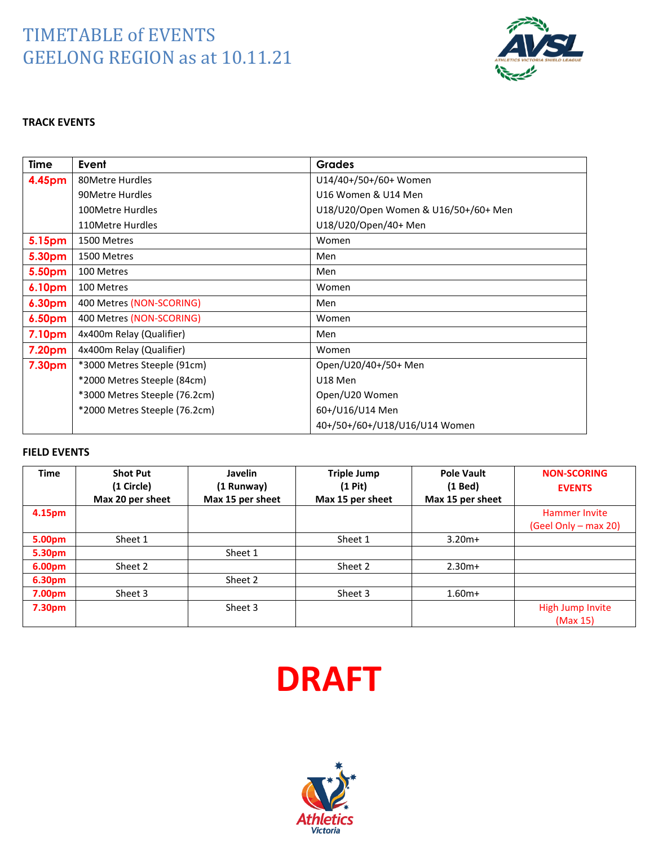

#### **TRACK EVENTS**

| <b>Time</b>        | Event                         | <b>Grades</b>                        |
|--------------------|-------------------------------|--------------------------------------|
| 4.45pm             | 80Metre Hurdles               | U14/40+/50+/60+ Women                |
|                    | 90Metre Hurdles               | U16 Women & U14 Men                  |
|                    | 100Metre Hurdles              | U18/U20/Open Women & U16/50+/60+ Men |
|                    | 110Metre Hurdles              | U18/U20/Open/40+ Men                 |
| 5.15pm             | 1500 Metres                   | Women                                |
| 5.30pm             | 1500 Metres                   | Men                                  |
| 5.50pm             | 100 Metres                    | Men                                  |
| 6.10 <sub>pm</sub> | 100 Metres                    | Women                                |
| 6.30pm             | 400 Metres (NON-SCORING)      | Men                                  |
| 6.50pm             | 400 Metres (NON-SCORING)      | Women                                |
| 7.10pm             | 4x400m Relay (Qualifier)      | Men                                  |
| 7.20pm             | 4x400m Relay (Qualifier)      | Women                                |
| 7.30pm             | *3000 Metres Steeple (91cm)   | Open/U20/40+/50+ Men                 |
|                    | *2000 Metres Steeple (84cm)   | U18 Men                              |
|                    | *3000 Metres Steeple (76.2cm) | Open/U20 Women                       |
|                    | *2000 Metres Steeple (76.2cm) | 60+/U16/U14 Men                      |
|                    |                               | 40+/50+/60+/U18/U16/U14 Women        |

| <b>Time</b> | <b>Shot Put</b>  | Javelin          | <b>Triple Jump</b> | <b>Pole Vault</b> | <b>NON-SCORING</b>   |
|-------------|------------------|------------------|--------------------|-------------------|----------------------|
|             | (1 Circle)       | (1 Runway)       | $(1$ Pit)          | $(1$ Bed)         | <b>EVENTS</b>        |
|             | Max 20 per sheet | Max 15 per sheet | Max 15 per sheet   | Max 15 per sheet  |                      |
| 4.15pm      |                  |                  |                    |                   | <b>Hammer Invite</b> |
|             |                  |                  |                    |                   | (Geel Only – max 20) |
| 5.00pm      | Sheet 1          |                  | Sheet 1            | $3.20m+$          |                      |
| 5.30pm      |                  | Sheet 1          |                    |                   |                      |
| 6.00pm      | Sheet 2          |                  | Sheet 2            | $2.30m+$          |                      |
| 6.30pm      |                  | Sheet 2          |                    |                   |                      |
| 7.00pm      | Sheet 3          |                  | Sheet 3            | $1.60m+$          |                      |
| 7.30pm      |                  | Sheet 3          |                    |                   | High Jump Invite     |
|             |                  |                  |                    |                   | (Max 15)             |



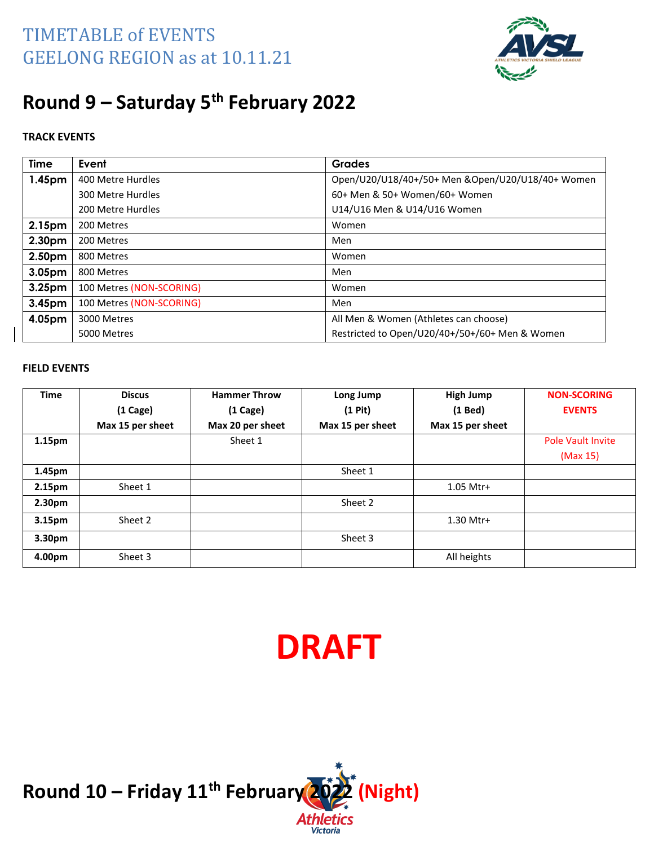

# **Round 9 – Saturday 5 th February 2022**

#### **TRACK EVENTS**

| <b>Time</b>        | Event                    | <b>Grades</b>                                     |
|--------------------|--------------------------|---------------------------------------------------|
| 1.45pm             | 400 Metre Hurdles        | Open/U20/U18/40+/50+ Men & Open/U20/U18/40+ Women |
|                    | 300 Metre Hurdles        | 60+ Men & 50+ Women/60+ Women                     |
|                    | 200 Metre Hurdles        | U14/U16 Men & U14/U16 Women                       |
| 2.15pm             | 200 Metres               | Women                                             |
| 2.30pm             | 200 Metres               | Men                                               |
| 2.50pm             | 800 Metres               | Women                                             |
| 3.05pm             | 800 Metres               | Men                                               |
| 3.25 <sub>pm</sub> | 100 Metres (NON-SCORING) | Women                                             |
| 3.45pm             | 100 Metres (NON-SCORING) | Men                                               |
| 4.05pm             | 3000 Metres              | All Men & Women (Athletes can choose)             |
|                    | 5000 Metres              | Restricted to Open/U20/40+/50+/60+ Men & Women    |

#### **FIELD EVENTS**

| <b>Time</b>        | <b>Discus</b>    | <b>Hammer Throw</b> | Long Jump        | <b>High Jump</b> | <b>NON-SCORING</b>       |
|--------------------|------------------|---------------------|------------------|------------------|--------------------------|
|                    | $(1)$ Cage)      | $(1)$ Cage)         | $(1$ Pit $)$     | $(1$ Bed)        | <b>EVENTS</b>            |
|                    | Max 15 per sheet | Max 20 per sheet    | Max 15 per sheet | Max 15 per sheet |                          |
| 1.15pm             |                  | Sheet 1             |                  |                  | <b>Pole Vault Invite</b> |
|                    |                  |                     |                  |                  | (Max 15)                 |
| 1.45pm             |                  |                     | Sheet 1          |                  |                          |
| 2.15pm             | Sheet 1          |                     |                  | 1.05 Mtr+        |                          |
| 2.30 <sub>pm</sub> |                  |                     | Sheet 2          |                  |                          |
| 3.15pm             | Sheet 2          |                     |                  | 1.30 Mtr+        |                          |
| 3.30 <sub>pm</sub> |                  |                     | Sheet 3          |                  |                          |
| 4.00pm             | Sheet 3          |                     |                  | All heights      |                          |

# **DRAFT**

**Victoria** 

**Round 10 – Friday 11th February 2022 (Night)**